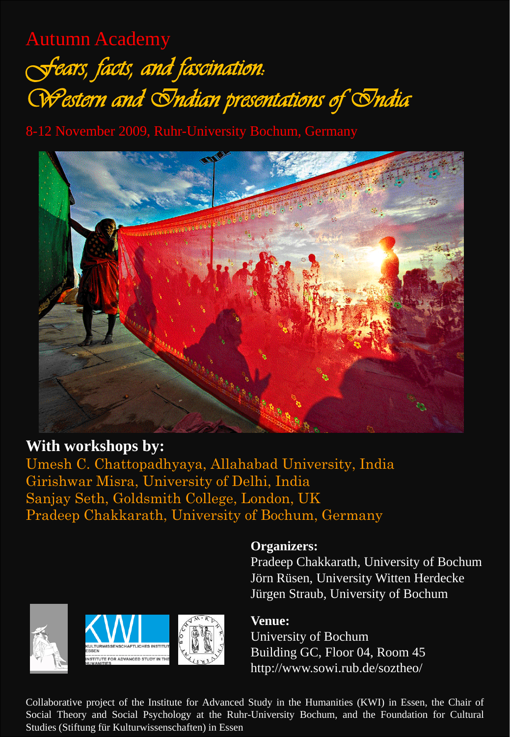## Autumn Academy *Fears, facts, and fascination: Western and Indian presentations of India*

8-12 November 2009, Ruhr-University Bochum, Germany



## **With workshops by:**

Umesh C. Chattopadhyaya, Allahabad University, India Girishwar Misra, University of Delhi, India Sanjay Seth, Goldsmith College, London, UK Pradeep Chakkarath, University of Bochum, Germany





**Organizers:**

Pradeep Chakkarath, University of Bochum Jörn Rüsen, University Witten Herdecke Jürgen Straub, University of Bochum



University of Bochum Building GC, Floor 04, Room 45 http://www.sowi.rub.de/soztheo/

Collaborative project of the Institute for Advanced Study in the Humanities (KWI) in Essen, the Chair of Social Theory and Social Psychology at the Ruhr-University Bochum, and the Foundation for Cultural Studies (Stiftung für Kulturwissenschaften) in Essen